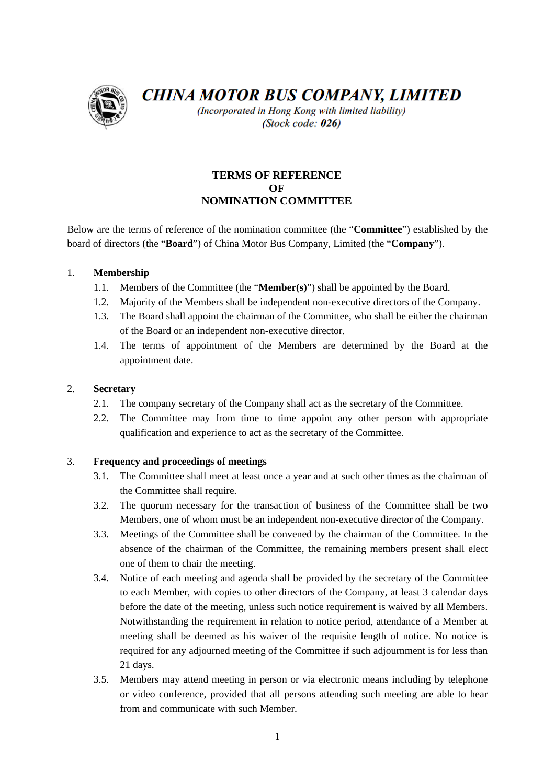

**CHINA MOTOR BUS COMPANY, LIMITED** 

(Incorporated in Hong Kong with limited liability) (Stock code: 026)

# **TERMS OF REFERENCE OF NOMINATION COMMITTEE**

Below are the terms of reference of the nomination committee (the "**Committee**") established by the board of directors (the "**Board**") of China Motor Bus Company, Limited (the "**Company**").

## 1. **Membership**

- 1.1. Members of the Committee (the "**Member(s)**") shall be appointed by the Board.
- 1.2. Majority of the Members shall be independent non-executive directors of the Company.
- 1.3. The Board shall appoint the chairman of the Committee, who shall be either the chairman of the Board or an independent non-executive director.
- 1.4. The terms of appointment of the Members are determined by the Board at the appointment date.

## 2. **Secretary**

- 2.1. The company secretary of the Company shall act as the secretary of the Committee.
- 2.2. The Committee may from time to time appoint any other person with appropriate qualification and experience to act as the secretary of the Committee.

## 3. **Frequency and proceedings of meetings**

- 3.1. The Committee shall meet at least once a year and at such other times as the chairman of the Committee shall require.
- 3.2. The quorum necessary for the transaction of business of the Committee shall be two Members, one of whom must be an independent non-executive director of the Company.
- 3.3. Meetings of the Committee shall be convened by the chairman of the Committee. In the absence of the chairman of the Committee, the remaining members present shall elect one of them to chair the meeting.
- 3.4. Notice of each meeting and agenda shall be provided by the secretary of the Committee to each Member, with copies to other directors of the Company, at least 3 calendar days before the date of the meeting, unless such notice requirement is waived by all Members. Notwithstanding the requirement in relation to notice period, attendance of a Member at meeting shall be deemed as his waiver of the requisite length of notice. No notice is required for any adjourned meeting of the Committee if such adjournment is for less than 21 days.
- 3.5. Members may attend meeting in person or via electronic means including by telephone or video conference, provided that all persons attending such meeting are able to hear from and communicate with such Member.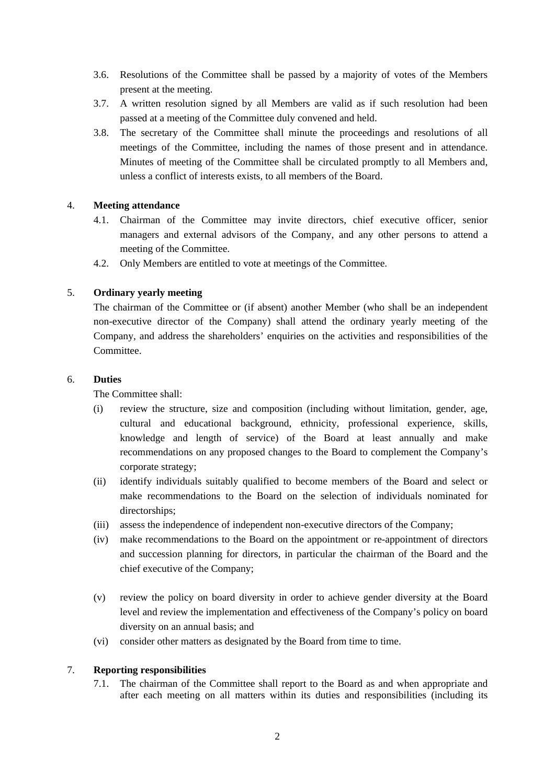- 3.6. Resolutions of the Committee shall be passed by a majority of votes of the Members present at the meeting.
- 3.7. A written resolution signed by all Members are valid as if such resolution had been passed at a meeting of the Committee duly convened and held.
- 3.8. The secretary of the Committee shall minute the proceedings and resolutions of all meetings of the Committee, including the names of those present and in attendance. Minutes of meeting of the Committee shall be circulated promptly to all Members and, unless a conflict of interests exists, to all members of the Board.

#### 4. **Meeting attendance**

- 4.1. Chairman of the Committee may invite directors, chief executive officer, senior managers and external advisors of the Company, and any other persons to attend a meeting of the Committee.
- 4.2. Only Members are entitled to vote at meetings of the Committee.

### 5. **Ordinary yearly meeting**

The chairman of the Committee or (if absent) another Member (who shall be an independent non-executive director of the Company) shall attend the ordinary yearly meeting of the Company, and address the shareholders' enquiries on the activities and responsibilities of the Committee.

#### 6. **Duties**

The Committee shall:

- (i) review the structure, size and composition (including without limitation, gender, age, cultural and educational background, ethnicity, professional experience, skills, knowledge and length of service) of the Board at least annually and make recommendations on any proposed changes to the Board to complement the Company's corporate strategy;
- (ii) identify individuals suitably qualified to become members of the Board and select or make recommendations to the Board on the selection of individuals nominated for directorships;
- (iii) assess the independence of independent non-executive directors of the Company;
- (iv) make recommendations to the Board on the appointment or re-appointment of directors and succession planning for directors, in particular the chairman of the Board and the chief executive of the Company;
- (v) review the policy on board diversity in order to achieve gender diversity at the Board level and review the implementation and effectiveness of the Company's policy on board diversity on an annual basis; and
- (vi) consider other matters as designated by the Board from time to time.

#### 7. **Reporting responsibilities**

7.1. The chairman of the Committee shall report to the Board as and when appropriate and after each meeting on all matters within its duties and responsibilities (including its